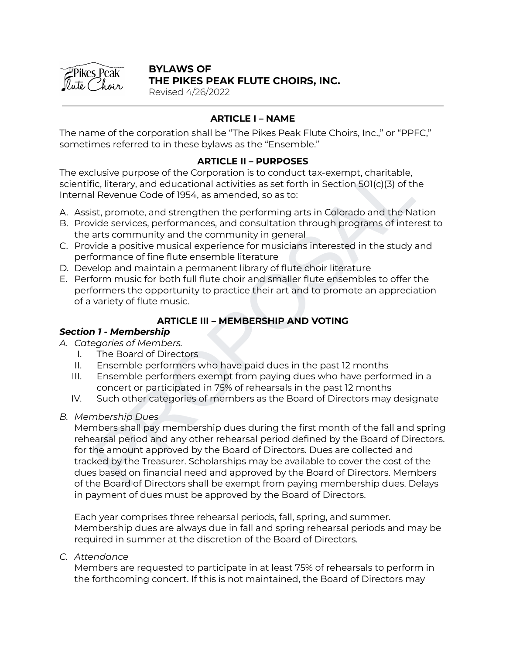

### **BYLAWS OF THE PIKES PEAK FLUTE CHOIRS, INC.**

Revised 4/26/2022

## **ARTICLE I – NAME**

The name of the corporation shall be "The Pikes Peak Flute Choirs, Inc.," or "PPFC," sometimes referred to in these bylaws as the "Ensemble."

### **ARTICLE II – PURPOSES**

The exclusive purpose of the Corporation is to conduct tax-exempt, charitable, scientific, literary, and educational activities as set forth in Section 501(c)(3) of the Internal Revenue Code of 1954, as amended, so as to:

- A. Assist, promote, and strengthen the performing arts in Colorado and the Nation
- B. Provide services, performances, and consultation through programs of interest to the arts community and the community in general
- C. Provide a positive musical experience for musicians interested in the study and performance of fine flute ensemble literature
- D. Develop and maintain a permanent library of flute choir literature
- E. Perform music for both full flute choir and smaller flute ensembles to offer the performers the opportunity to practice their art and to promote an appreciation of a variety of flute music.

## **ARTICLE III – MEMBERSHIP AND VOTING**

## *Section 1 - Membership*

- *A. Categories of Members.*
	- I. The Board of Directors
	- II. Ensemble performers who have paid dues in the past 12 months
	- III. Ensemble performers exempt from paying dues who have performed in a concert or participated in 75% of rehearsals in the past 12 months
	- IV. Such other categories of members as the Board of Directors may designate
- *B. Membership Dues*

clusive purpose of the Conporation is to conduct tax-exempt, charitable,<br>
Fig. literary, and educational activities as set forth in Section 501(c)(3) of the<br>
Fig. literary, and educational activities as set for this Sectio Members shall pay membership dues during the first month of the fall and spring rehearsal period and any other rehearsal period defined by the Board of Directors. for the amount approved by the Board of Directors. Dues are collected and tracked by the Treasurer. Scholarships may be available to cover the cost of the dues based on financial need and approved by the Board of Directors. Members of the Board of Directors shall be exempt from paying membership dues. Delays in payment of dues must be approved by the Board of Directors.

Each year comprises three rehearsal periods, fall, spring, and summer. Membership dues are always due in fall and spring rehearsal periods and may be required in summer at the discretion of the Board of Directors.

*C. Attendance*

Members are requested to participate in at least 75% of rehearsals to perform in the forthcoming concert. If this is not maintained, the Board of Directors may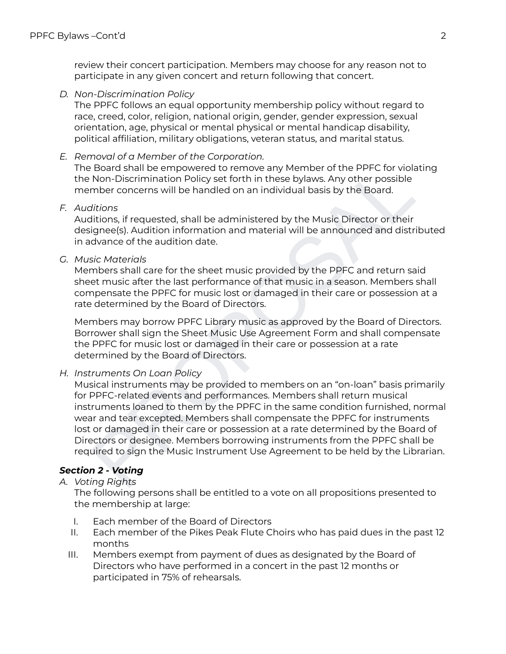review their concert participation. Members may choose for any reason not to participate in any given concert and return following that concert.

*D. Non-Discrimination Policy*

The PPFC follows an equal opportunity membership policy without regard to race, creed, color, religion, national origin, gender, gender expression, sexual orientation, age, physical or mental physical or mental handicap disability, political affiliation, military obligations, veteran status, and marital status.

*E. Removal of a Member of the Corporation.*

The Board shall be empowered to remove any Member of the PPFC for violating the Non-Discrimination Policy set forth in these bylaws. Any other possible member concerns will be handled on an individual basis by the Board.

*F. Auditions*

Auditions, if requested, shall be administered by the Music Director or their designee(s). Audition information and material will be announced and distributed in advance of the audition date.

*G. Music Materials*

Members shall care for the sheet music provided by the PPFC and return said sheet music after the last performance of that music in a season. Members shall compensate the PPFC for music lost or damaged in their care or possession at a rate determined by the Board of Directors.

Members may borrow PPFC Library music as approved by the Board of Directors. Borrower shall sign the Sheet Music Use Agreement Form and shall compensate the PPFC for music lost or damaged in their care or possession at a rate determined by the Board of Directors.

*H. Instruments On Loan Policy*

Board shall be empowered to remove any Member of the PPFC for violating<br>Non-Discrimination Policy set forth in these bylaws. Any other possible<br>mber concerns will be handled on an individual basis by the Board.<br>Hitons,<br>mor Musical instruments may be provided to members on an "on-loan" basis primarily for PPFC-related events and performances. Members shall return musical instruments loaned to them by the PPFC in the same condition furnished, normal wear and tear excepted. Members shall compensate the PPFC for instruments lost or damaged in their care or possession at a rate determined by the Board of Directors or designee. Members borrowing instruments from the PPFC shall be required to sign the Music Instrument Use Agreement to be held by the Librarian.

# *Section 2 - Voting*

*A. Voting Rights*

The following persons shall be entitled to a vote on all propositions presented to the membership at large:

- I. Each member of the Board of Directors
- II. Each member of the Pikes Peak Flute Choirs who has paid dues in the past 12 months
- III. Members exempt from payment of dues as designated by the Board of Directors who have performed in a concert in the past 12 months or participated in 75% of rehearsals.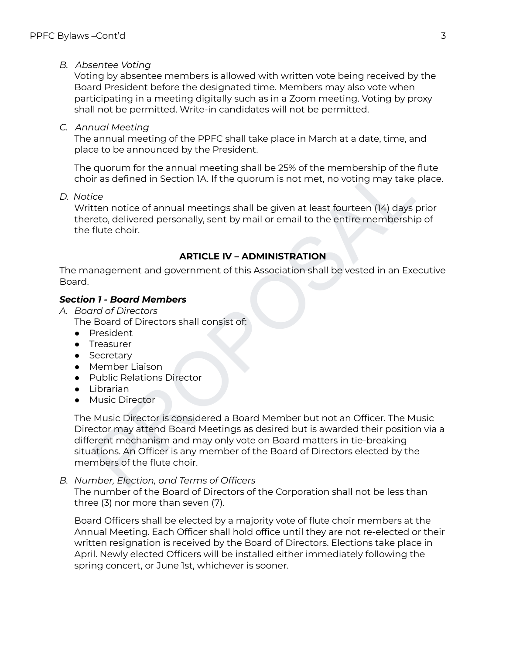## *B. Absentee Voting*

Voting by absentee members is allowed with written vote being received by the Board President before the designated time. Members may also vote when participating in a meeting digitally such as in a Zoom meeting. Voting by proxy shall not be permitted. Write-in candidates will not be permitted.

*C. Annual Meeting*

The annual meeting of the PPFC shall take place in March at a date, time, and place to be announced by the President.

The quorum for the annual meeting shall be 25% of the membership of the flute choir as defined in Section 1A. If the quorum is not met, no voting may take place.

*D. Notice*

Written notice of annual meetings shall be given at least fourteen (14) days prior thereto, delivered personally, sent by mail or email to the entire membership of the flute choir.

## **ARTICLE IV – ADMINISTRATION**

The management and government of this Association shall be vested in an Executive Board.

## *Section 1 - Board Members*

- *A. Board of Directors*
	- The Board of Directors shall consist of:
	- President
	- Treasurer
	- Secretary
	- Member Liaison
	- Public Relations Director
	- Librarian
	- Music Director

quorum for the annual meeting shall be 25% of the membership of the flute<br>
ir as defined in Section IA. If the quorum is not met, no voting may take place.<br>
ire<br>
ire<br>
ire<br>
ice<br>
ice<br>
ice<br>
ice<br>
ce<br>
ce divered personally, sen The Music Director is considered a Board Member but not an Officer. The Music Director may attend Board Meetings as desired but is awarded their position via a different mechanism and may only vote on Board matters in tie-breaking situations. An Officer is any member of the Board of Directors elected by the members of the flute choir.

*B. Number, Election, and Terms of Officers*

The number of the Board of Directors of the Corporation shall not be less than three (3) nor more than seven (7).

Board Officers shall be elected by a majority vote of flute choir members at the Annual Meeting. Each Officer shall hold office until they are not re-elected or their written resignation is received by the Board of Directors. Elections take place in April. Newly elected Officers will be installed either immediately following the spring concert, or June 1st, whichever is sooner.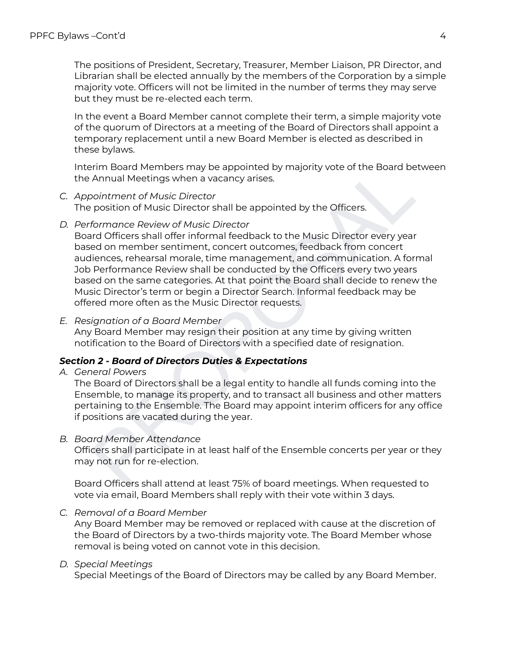The positions of President, Secretary, Treasurer, Member Liaison, PR Director, and Librarian shall be elected annually by the members of the Corporation by a simple majority vote. Officers will not be limited in the number of terms they may serve but they must be re-elected each term.

In the event a Board Member cannot complete their term, a simple majority vote of the quorum of Directors at a meeting of the Board of Directors shall appoint a temporary replacement until a new Board Member is elected as described in these bylaws.

Interim Board Members may be appointed by majority vote of the Board between the Annual Meetings when a vacancy arises.

- *C. Appointment of Music Director* The position of Music Director shall be appointed by the Officers.
- *D. Performance Review of Music Director*

rim Board Members may be appointed by majority vote of the Board between<br>Annual Meetings when a vacancy arises.<br>
Annual meetings when a vacancy arises.<br>
For pointment of Music Director<br>
pointment of Music Director<br>
pointme Board Officers shall offer informal feedback to the Music Director every year based on member sentiment, concert outcomes, feedback from concert audiences, rehearsal morale, time management, and communication. A formal Job Performance Review shall be conducted by the Officers every two years based on the same categories. At that point the Board shall decide to renew the Music Director's term or begin a Director Search. Informal feedback may be offered more often as the Music Director requests.

*E. Resignation of a Board Member*

Any Board Member may resign their position at any time by giving written notification to the Board of Directors with a specified date of resignation.

### *Section 2 - Board of Directors Duties & Expectations*

*A. General Powers*

The Board of Directors shall be a legal entity to handle all funds coming into the Ensemble, to manage its property, and to transact all business and other matters pertaining to the Ensemble. The Board may appoint interim officers for any office if positions are vacated during the year.

*B. Board Member Attendance*

Officers shall participate in at least half of the Ensemble concerts per year or they may not run for re-election.

Board Officers shall attend at least 75% of board meetings. When requested to vote via email, Board Members shall reply with their vote within 3 days.

*C. Removal of a Board Member*

Any Board Member may be removed or replaced with cause at the discretion of the Board of Directors by a two-thirds majority vote. The Board Member whose removal is being voted on cannot vote in this decision.

### *D. Special Meetings*

Special Meetings of the Board of Directors may be called by any Board Member.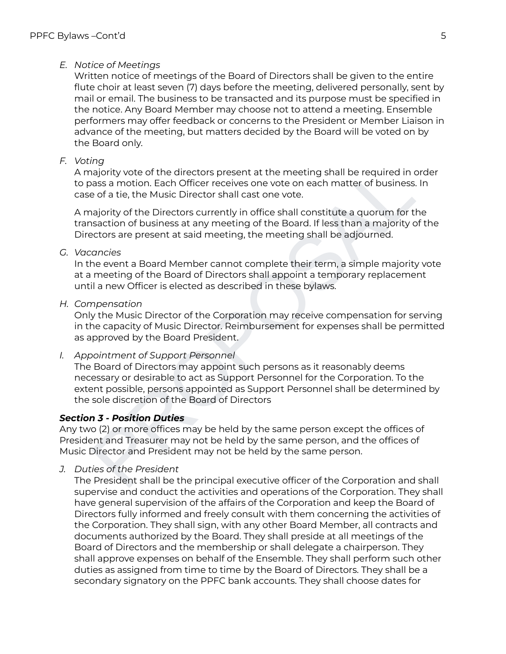## *E. Notice of Meetings*

Written notice of meetings of the Board of Directors shall be given to the entire flute choir at least seven (7) days before the meeting, delivered personally, sent by mail or email. The business to be transacted and its purpose must be specified in the notice. Any Board Member may choose not to attend a meeting. Ensemble performers may offer feedback or concerns to the President or Member Liaison in advance of the meeting, but matters decided by the Board will be voted on by the Board only.

## *F. Voting*

A majority vote of the directors present at the meeting shall be required in order to pass a motion. Each Officer receives one vote on each matter of business. In case of a tie, the Music Director shall cast one vote.

A majority of the Directors currently in office shall constitute a quorum for the transaction of business at any meeting of the Board. If less than a majority of the Directors are present at said meeting, the meeting shall be adjourned.

### *G. Vacancies*

In the event a Board Member cannot complete their term, a simple majority vote at a meeting of the Board of Directors shall appoint a temporary replacement until a new Officer is elected as described in these bylaws.

*H. Compensation*

Only the Music Director of the Corporation may receive compensation for serving in the capacity of Music Director. Reimbursement for expenses shall be permitted as approved by the Board President.

*I. Appointment of Support Personnel*

rigority vote of the directors present at the meeting shall be required in order<br>assa motion. Each Officer receives one vote on each matter of business. In<br>ajority of the Music Director scurently in office shall constitute The Board of Directors may appoint such persons as it reasonably deems necessary or desirable to act as Support Personnel for the Corporation. To the extent possible, persons appointed as Support Personnel shall be determined by the sole discretion of the Board of Directors

## *Section 3 - Position Duties*

Any two (2) or more offices may be held by the same person except the offices of President and Treasurer may not be held by the same person, and the offices of Music Director and President may not be held by the same person.

*J. Duties of the President*

The President shall be the principal executive officer of the Corporation and shall supervise and conduct the activities and operations of the Corporation. They shall have general supervision of the affairs of the Corporation and keep the Board of Directors fully informed and freely consult with them concerning the activities of the Corporation. They shall sign, with any other Board Member, all contracts and documents authorized by the Board. They shall preside at all meetings of the Board of Directors and the membership or shall delegate a chairperson. They shall approve expenses on behalf of the Ensemble. They shall perform such other duties as assigned from time to time by the Board of Directors. They shall be a secondary signatory on the PPFC bank accounts. They shall choose dates for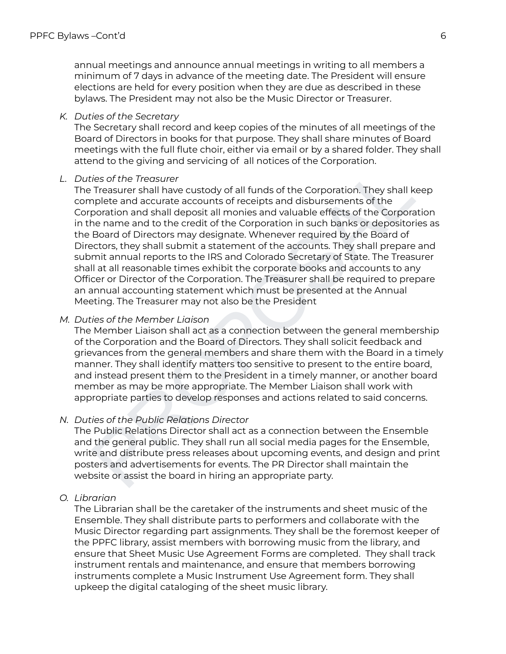annual meetings and announce annual meetings in writing to all members a minimum of 7 days in advance of the meeting date. The President will ensure elections are held for every position when they are due as described in these bylaws. The President may not also be the Music Director or Treasurer.

#### *K. Duties of the Secretary*

The Secretary shall record and keep copies of the minutes of all meetings of the Board of Directors in books for that purpose. They shall share minutes of Board meetings with the full flute choir, either via email or by a shared folder. They shall attend to the giving and servicing of all notices of the Corporation.

### *L. Duties of the Treasurer*

iles of the Temasura and states and states and states of the Firesture completes of the Treasurer shall have custody of all funds of the Corporation. They shall keep plete and accurate accounts of neceipts and disbursement The Treasurer shall have custody of all funds of the Corporation. They shall keep complete and accurate accounts of receipts and disbursements of the Corporation and shall deposit all monies and valuable effects of the Corporation in the name and to the credit of the Corporation in such banks or depositories as the Board of Directors may designate. Whenever required by the Board of Directors, they shall submit a statement of the accounts. They shall prepare and submit annual reports to the IRS and Colorado Secretary of State. The Treasurer shall at all reasonable times exhibit the corporate books and accounts to any Officer or Director of the Corporation. The Treasurer shall be required to prepare an annual accounting statement which must be presented at the Annual Meeting. The Treasurer may not also be the President

#### *M. Duties of the Member Liaison*

The Member Liaison shall act as a connection between the general membership of the Corporation and the Board of Directors. They shall solicit feedback and grievances from the general members and share them with the Board in a timely manner. They shall identify matters too sensitive to present to the entire board, and instead present them to the President in a timely manner, or another board member as may be more appropriate. The Member Liaison shall work with appropriate parties to develop responses and actions related to said concerns.

### *N. Duties of the Public Relations Director*

The Public Relations Director shall act as a connection between the Ensemble and the general public. They shall run all social media pages for the Ensemble, write and distribute press releases about upcoming events, and design and print posters and advertisements for events. The PR Director shall maintain the website or assist the board in hiring an appropriate party.

### *O. Librarian*

The Librarian shall be the caretaker of the instruments and sheet music of the Ensemble. They shall distribute parts to performers and collaborate with the Music Director regarding part assignments. They shall be the foremost keeper of the PPFC library, assist members with borrowing music from the library, and ensure that Sheet Music Use Agreement Forms are completed. They shall track instrument rentals and maintenance, and ensure that members borrowing instruments complete a Music Instrument Use Agreement form. They shall upkeep the digital cataloging of the sheet music library.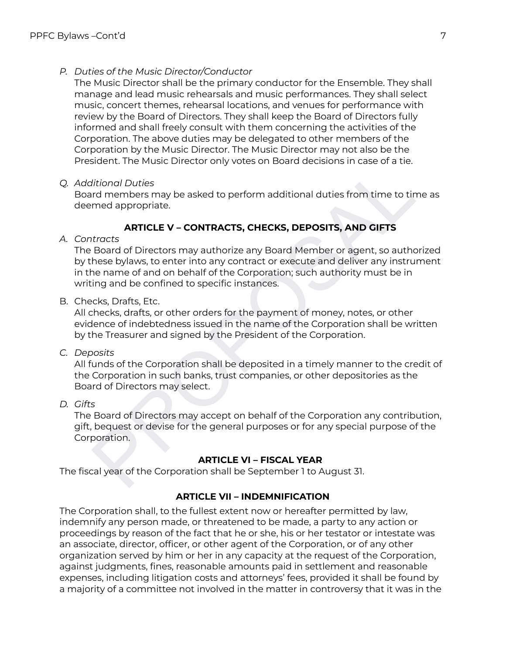### *P. Duties of the Music Director/Conductor*

The Music Director shall be the primary conductor for the Ensemble. They shall manage and lead music rehearsals and music performances. They shall select music, concert themes, rehearsal locations, and venues for performance with review by the Board of Directors. They shall keep the Board of Directors fully informed and shall freely consult with them concerning the activities of the Corporation. The above duties may be delegated to other members of the Corporation by the Music Director. The Music Director may not also be the President. The Music Director only votes on Board decisions in case of a tie.

### *Q. Additional Duties*

Board members may be asked to perform additional duties from time to time as deemed appropriate.

## **ARTICLE V – CONTRACTS, CHECKS, DEPOSITS, AND GIFTS**

*A. Contracts*

Britainal Duties<br>International Duties of a beach of the final duties from time to the asteroid members may be asked to perform additional duties from time to time as<br>
ard appropriate.<br> **ARTICLE V – CONTRACTS, CHECKS, DEPOS** The Board of Directors may authorize any Board Member or agent, so authorized by these bylaws, to enter into any contract or execute and deliver any instrument in the name of and on behalf of the Corporation; such authority must be in writing and be confined to specific instances.

B. Checks, Drafts, Etc.

All checks, drafts, or other orders for the payment of money, notes, or other evidence of indebtedness issued in the name of the Corporation shall be written by the Treasurer and signed by the President of the Corporation.

*C. Deposits*

All funds of the Corporation shall be deposited in a timely manner to the credit of the Corporation in such banks, trust companies, or other depositories as the Board of Directors may select.

## *D. Gifts*

The Board of Directors may accept on behalf of the Corporation any contribution, gift, bequest or devise for the general purposes or for any special purpose of the Corporation.

### **ARTICLE VI – FISCAL YEAR**

The fiscal year of the Corporation shall be September 1 to August 31.

### **ARTICLE VII – INDEMNIFICATION**

The Corporation shall, to the fullest extent now or hereafter permitted by law, indemnify any person made, or threatened to be made, a party to any action or proceedings by reason of the fact that he or she, his or her testator or intestate was an associate, director, officer, or other agent of the Corporation, or of any other organization served by him or her in any capacity at the request of the Corporation, against judgments, fines, reasonable amounts paid in settlement and reasonable expenses, including litigation costs and attorneys' fees, provided it shall be found by a majority of a committee not involved in the matter in controversy that it was in the